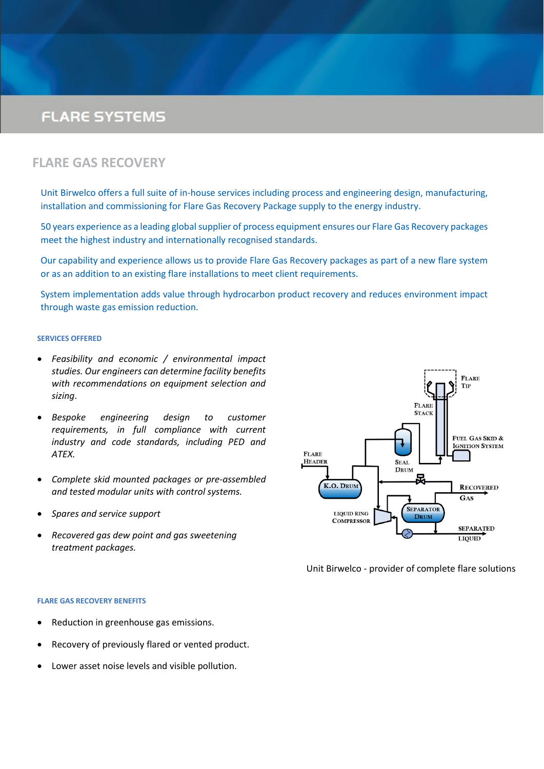

# **FLARE SYSTEMS**



Unit Birwelco has been involved with Flare Systems for over 40 years and from our headquarters in Halesowen we can offer a complete service including design, engineering, manufacture, refurbishment, upgrade and spare parts.

### THE SONAJET**®** PRINCIPLE

Now recognised as a world leader, the Sonajet® design was first developed and patented by Unit Birwelco in the 1970's to meet the requirements for low radiation flaring on North Sea installations.

The Sonajet® combines the advantages of high pressure sonic flaring with long life to provide guaranteed ignition under all conditions.

The Sonajet® design solution eradicates the need for annual tip change-outs and associated downtime costs – all of which makes it the most cost-effective solution on the market. In addition, its design is extremely flexible and can be tailored to meet virtually any requirement.

A proportion of the high pressure gas is throttled and expanded to produce a low velocity gas stream, which produces a stable flame. The low pressure flame ensures a continuous ignition source

for the remaining high pressure gas exiting the tip, even under maximum flow and blow-down conditions. As a result, flame lift and blow out are avoided.

#### SYSTEM BENEFITS

- $\circled{0}$  Total reliability with flare Ignition systems
- **O** Proven, safe pilot monitoring in all atmospheres
- **(6)** Reliable, sturdy support structures, stacks or derricks
- **O** Seals, vessels and anti-diffusion barriers for peace of mind
- **O** Back-up skids and control systems to ensure operation
- **1** Total spares support a simple call away



## **MORE INFORMATION OVERLEAF**

#### CONTACT

For Flare System Services contact: Carl Blewer on: Tel:  $+44$  (0)121 585 5566 Email: c.blewer@unitbirwelco.com